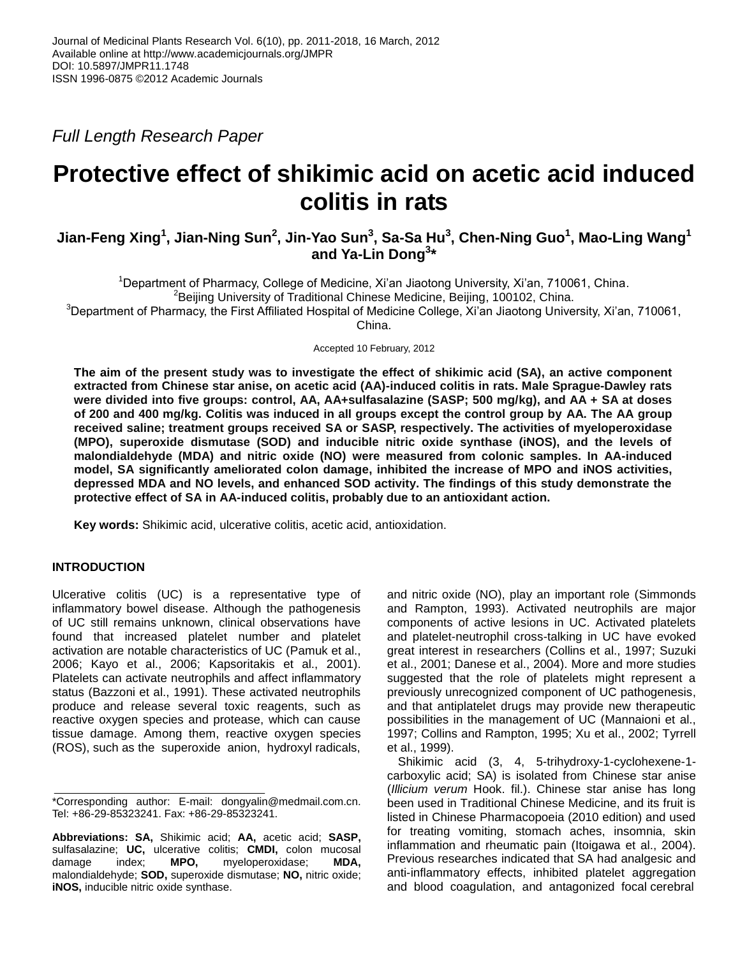*Full Length Research Paper*

# **Protective effect of shikimic acid on acetic acid induced colitis in rats**

# **Jian-Feng Xing<sup>1</sup> , Jian-Ning Sun<sup>2</sup> , Jin-Yao Sun<sup>3</sup> , Sa-Sa Hu<sup>3</sup> , Chen-Ning Guo<sup>1</sup> , Mao-Ling Wang<sup>1</sup> and Ya-Lin Dong<sup>3</sup> \***

<sup>1</sup>Department of Pharmacy, College of Medicine, Xi'an Jiaotong University, Xi'an, 710061, China.  $2$ Beijing University of Traditional Chinese Medicine, Beijing, 100102, China.

<sup>3</sup>Department of Pharmacy, the First Affiliated Hospital of Medicine College, Xi'an Jiaotong University, Xi'an, 710061,

China.

Accepted 10 February, 2012

**The aim of the present study was to investigate the effect of shikimic acid (SA), an active component extracted from Chinese star anise, on acetic acid (AA)-induced colitis in rats. Male Sprague-Dawley rats were divided into five groups: control, AA, AA+sulfasalazine (SASP; 500 mg/kg), and AA + SA at doses of 200 and 400 mg/kg. Colitis was induced in all groups except the control group by AA. The AA group received saline; treatment groups received SA or SASP, respectively. The activities of myeloperoxidase (MPO), superoxide dismutase (SOD) and inducible nitric oxide synthase (iNOS), and the levels of malondialdehyde (MDA) and nitric oxide (NO) were measured from colonic samples. In AA-induced model, SA significantly ameliorated colon damage, inhibited the increase of MPO and iNOS activities, depressed MDA and NO levels, and enhanced SOD activity. The findings of this study demonstrate the protective effect of SA in AA-induced colitis, probably due to an antioxidant action.**

**Key words:** Shikimic acid, ulcerative colitis, acetic acid, antioxidation.

# **INTRODUCTION**

Ulcerative colitis (UC) is a representative type of inflammatory bowel disease. Although the pathogenesis of UC still remains unknown, clinical observations have found that increased platelet number and platelet activation are notable characteristics of UC [\(Pamuk et al.,](l%20)  [2006;](l%20) [Kayo et al., 2006;](l%20) [Kapsoritakis et al., 2001\)](l%20). Platelets can activate neutrophils and affect inflammatory status [\(Bazzoni et al.,](l%20) 1991). These activated neutrophils produce and release several toxic reagents, such as reactive oxygen species and protease, which can cause tissue damage. Among them, reactive oxygen species (ROS), such as the superoxide anion, hydroxyl radicals,

and nitric oxide (NO), play an important role [\(Simmonds](l%20)  [and Rampton, 1993\)](l%20). Activated neutrophils are major components of active lesions in UC. Activated platelets and platelet-neutrophil cross-talking in UC have evoked great interest in researchers [\(Collins et al., 1997; Suzuki](l%20)  [et al., 2001; Danese et al., 2004\)](l%20). More and more studies suggested that the role of platelets might represent a previously unrecognized component of UC pathogenesis, and that antiplatelet drugs may provide new therapeutic possibilities in the management of UC [\(Mannaioni et al.,](l%20)  [1997; Collins and Rampton, 1995; Xu et al., 2002; Tyrrell](l%20)  [et al., 1999\)](l%20).

Shikimic acid (3, 4, 5-trihydroxy-1-cyclohexene-1 carboxylic acid; SA) is isolated from Chinese star anise (*Illicium verum* Hook. fil.). Chinese star anise has long been used in Traditional Chinese Medicine, and its fruit is listed in Chinese Pharmacopoeia (2010 edition) and used for treating vomiting, stomach aches, insomnia, skin inflammation and rheumatic pain [\(Itoigawa et al., 2004\)](l%20). Previous researches indicated that SA had analgesic and anti-inflammatory effects, inhibited platelet aggregation and blood coagulation, and antagonized focal cerebral

<sup>\*</sup>Corresponding author: E-mail: dongyalin@medmail.com.cn. Tel: +86-29-85323241. Fax: +86-29-85323241.

**Abbreviations: SA,** Shikimic acid; **AA,** acetic acid; **SASP,** sulfasalazine; **UC,** ulcerative colitis; **CMDI,** colon mucosal damage index; **MPO,** myeloperoxidase; **MDA,** malondialdehyde; **SOD,** superoxide dismutase; **NO,** nitric oxide; **iNOS,** inducible nitric oxide synthase.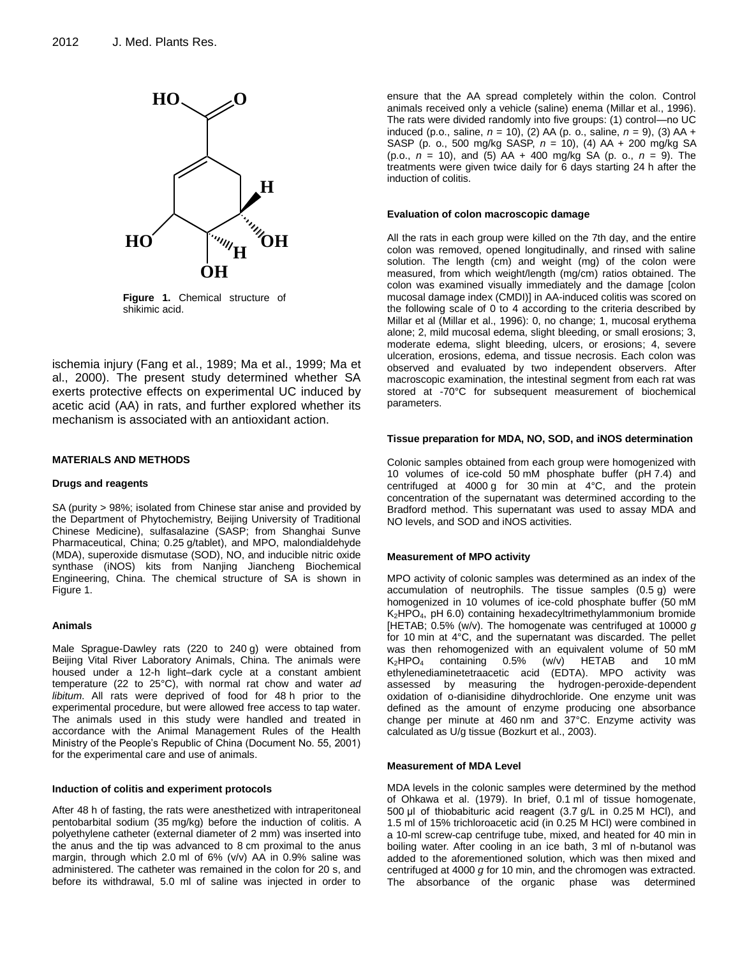

**Figure 1.** Chemical structure of shikimic acid.

ischemia injury [\(Fang et al., 1989; Ma et al., 1999; Ma et](l%20)  [al., 2000\)](l%20). The present study determined whether SA exerts protective effects on experimental UC induced by acetic acid (AA) in rats, and further explored whether its mechanism is associated with an antioxidant action.

# **MATERIALS AND METHODS**

## **Drugs and reagents**

SA (purity > 98%; isolated from Chinese star anise and provided by the Department of Phytochemistry, Beijing University of Traditional Chinese Medicine), sulfasalazine (SASP; from Shanghai Sunve Pharmaceutical, China; 0.25 g/tablet), and MPO, malondialdehyde (MDA), superoxide dismutase (SOD), NO, and inducible nitric oxide synthase (iNOS) kits from Nanjing Jiancheng Biochemical Engineering, China. The chemical structure of SA is shown in Figure 1.

# **Animals**

Male Sprague-Dawley rats (220 to 240 g) were obtained from Beijing Vital River Laboratory Animals, China. The animals were housed under a 12-h light–dark cycle at a constant ambient temperature (22 to 25°C), with normal rat chow and water *ad libitum*. All rats were deprived of food for 48 h prior to the experimental procedure, but were allowed free access to tap water. The animals used in this study were handled and treated in accordance with the Animal Management Rules of the Health Ministry of the People's Republic of China (Document No. 55, 2001) for the experimental care and use of animals.

#### **Induction of colitis and experiment protocols**

After 48 h of fasting, the rats were anesthetized with intraperitoneal pentobarbital sodium (35 mg/kg) before the induction of colitis. A polyethylene catheter (external diameter of 2 mm) was inserted into the anus and the tip was advanced to 8 cm proximal to the anus margin, through which 2.0 ml of 6% (v/v) AA in 0.9% saline was administered. The catheter was remained in the colon for 20 s, and before its withdrawal, 5.0 ml of saline was injected in order to

ensure that the AA spread completely within the colon. Control animals received only a vehicle (saline) enema [\(Millar et al., 1996\)](l%20). The rats were divided randomly into five groups: (1) control—no UC induced (p.o., saline, *n* = 10), (2) AA (p. o., saline, *n* = 9), (3) AA + SASP (p. o., 500 mg/kg SASP, *n* = 10), (4) AA + 200 mg/kg SA (p.o., *n* = 10), and (5) AA + 400 mg/kg SA (p. o., *n* = 9). The treatments were given twice daily for 6 days starting 24 h after the induction of colitis.

#### **Evaluation of colon macroscopic damage**

All the rats in each group were killed on the 7th day, and the entire colon was removed, opened longitudinally, and rinsed with saline solution. The length (cm) and weight (mg) of the colon were measured, from which weight/length (mg/cm) ratios obtained. The colon was examined visually immediately and the damage [colon mucosal damage index (CMDI)] in AA-induced colitis was scored on the following scale of 0 to 4 according to the criteria described by Millar et al [\(Millar et al., 1996\)](l%20): 0, no change; 1, mucosal erythema alone; 2, mild mucosal edema, slight bleeding, or small erosions; 3, moderate edema, slight bleeding, ulcers, or erosions; 4, severe ulceration, erosions, edema, and tissue necrosis. Each colon was observed and evaluated by two independent observers. After macroscopic examination, the intestinal segment from each rat was stored at -70°C for subsequent measurement of biochemical parameters.

#### **Tissue preparation for MDA, NO, SOD, and iNOS determination**

Colonic samples obtained from each group were homogenized with 10 volumes of ice-cold 50 mM phosphate buffer (pH 7.4) and centrifuged at 4000 g for 30 min at 4°C, and the protein concentration of the supernatant was determined according to the Bradford method. This supernatant was used to assay MDA and NO levels, and SOD and iNOS activities.

## **Measurement of MPO activity**

MPO activity of colonic samples was determined as an index of the accumulation of neutrophils. The tissue samples (0.5 g) were homogenized in 10 volumes of ice-cold phosphate buffer (50 mM K2HPO4, pH 6.0) containing hexadecyltrimethylammonium bromide [HETAB; 0.5% (w/v). The homogenate was centrifuged at 10000 *g* for 10 min at 4°C, and the supernatant was discarded. The pellet was then rehomogenized with an equivalent volume of 50 mM<br> $K_2HPO_4$  containing 0.5% (w/v) HETAB and 10 mM  $K_2$ HPO<sub>4</sub> containing 0.5% (w/v) HETAB and 10 mM ethylenediaminetetraacetic acid (EDTA). MPO activity was assessed by measuring the hydrogen-peroxide-dependent oxidation of o-dianisidine dihydrochloride. One enzyme unit was defined as the amount of enzyme producing one absorbance change per minute at 460 nm and 37°C. Enzyme activity was calculated as U/g tissue [\(Bozkurt et al., 2003\)](l%20).

#### **Measurement of MDA Level**

MDA levels in the colonic samples were determined by the method of Ohkawa et al. [\(1979\)](l%20). In brief, 0.1 ml of tissue homogenate, 500 μl of thiobabituric acid reagent (3.7 g/L in 0.25 M HCl), and 1.5 ml of 15% trichloroacetic acid (in 0.25 M HCl) were combined in a 10-ml screw-cap centrifuge tube, mixed, and heated for 40 min in boiling water. After cooling in an ice bath, 3 ml of n-butanol was added to the aforementioned solution, which was then mixed and centrifuged at 4000 *g* for 10 min, and the chromogen was extracted. The absorbance of the organic phase was determined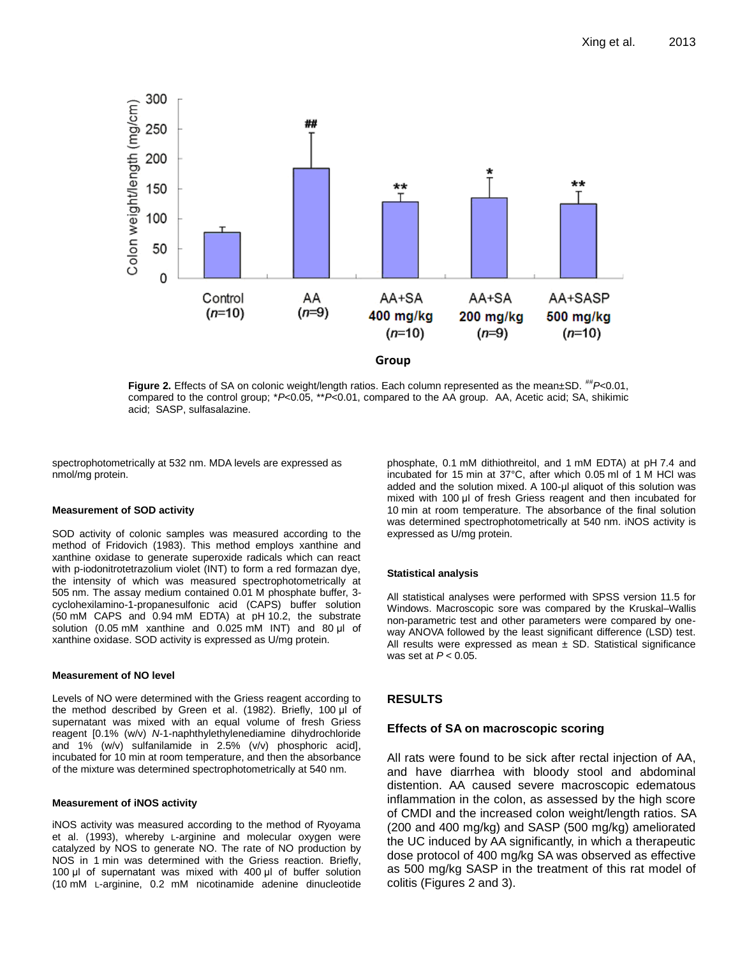

**Figure 2.** Effects of SA on colonic weight/length ratios. Each column represented as the mean±SD.  $^{tt}P<0.01$ , compared to the control group; \**P*<0.05, \*\**P*<0.01, compared to the AA group. AA, Acetic acid; SA, shikimic acid; SASP, sulfasalazine.

spectrophotometrically at 532 nm. MDA levels are expressed as nmol/mg protein.

## **Measurement of SOD activity**

SOD activity of colonic samples was measured according to the method of Fridovich [\(1983\)](l%20). This method employs xanthine and xanthine oxidase to generate superoxide radicals which can react with p-iodonitrotetrazolium violet (INT) to form a red formazan dye, the intensity of which was measured spectrophotometrically at 505 nm. The assay medium contained 0.01 M phosphate buffer, 3 cyclohexilamino-1-propanesulfonic acid (CAPS) buffer solution (50 mM CAPS and 0.94 mM EDTA) at pH 10.2, the substrate solution (0.05 mM xanthine and 0.025 mM INT) and 80 μl of xanthine oxidase. SOD activity is expressed as U/mg protein.

#### **Measurement of NO level**

Levels of NO were determined with the Griess reagent according to the method described by Green et al. [\(1982\)](l%20). Briefly, 100 μl of supernatant was mixed with an equal volume of fresh Griess reagent [0.1% (w/v) *N*-1-naphthylethylenediamine dihydrochloride and 1% (w/v) sulfanilamide in 2.5% (v/v) phosphoric acid], incubated for 10 min at room temperature, and then the absorbance of the mixture was determined spectrophotometrically at 540 nm.

#### **Measurement of iNOS activity**

iNOS activity was measured according to the method of Ryoyama [et al. \(1993\)](l%20), whereby L-arginine and molecular oxygen were catalyzed by NOS to generate NO. The rate of NO production by NOS in 1 min was determined with the Griess reaction. Briefly, 100 μl of supernatant was mixed with 400 μl of buffer solution (10 mM L-arginine, 0.2 mM nicotinamide adenine dinucleotide

phosphate, 0.1 mM dithiothreitol, and 1 mM EDTA) at pH 7.4 and incubated for 15 min at 37°C, after which 0.05 ml of 1 M HCl was added and the solution mixed. A 100-μl aliquot of this solution was mixed with 100 μl of fresh Griess reagent and then incubated for 10 min at room temperature. The absorbance of the final solution was determined spectrophotometrically at 540 nm. iNOS activity is expressed as U/mg protein.

## **Statistical analysis**

All statistical analyses were performed with SPSS version 11.5 for Windows. Macroscopic sore was compared by the Kruskal–Wallis non-parametric test and other parameters were compared by oneway ANOVA followed by the least significant difference (LSD) test. All results were expressed as mean  $\pm$  SD. Statistical significance was set at *P* < 0.05.

# **RESULTS**

## **Effects of SA on macroscopic scoring**

All rats were found to be sick after rectal injection of AA, and have diarrhea with bloody stool and abdominal distention. AA caused severe macroscopic edematous inflammation in the colon, as assessed by the high score of CMDI and the increased colon weight/length ratios. SA (200 and 400 mg/kg) and SASP (500 mg/kg) ameliorated the UC induced by AA significantly, in which a therapeutic dose protocol of 400 mg/kg SA was observed as effective as 500 mg/kg SASP in the treatment of this rat model of colitis (Figures 2 and 3).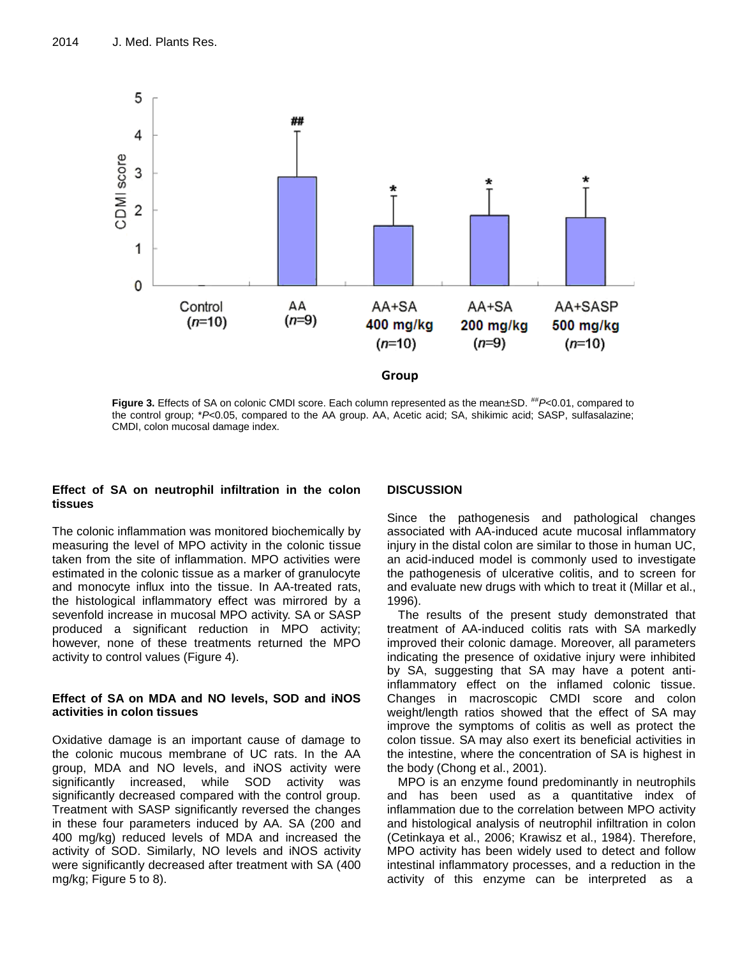

**Figure 3.** Effects of SA on colonic CMDI score. Each column represented as the mean±SD. ##*P*<0.01, compared to the control group; \**P*<0.05, compared to the AA group. AA, Acetic acid; SA, shikimic acid; SASP, sulfasalazine; CMDI, colon mucosal damage index.

# **Effect of SA on neutrophil infiltration in the colon tissues**

The colonic inflammation was monitored biochemically by measuring the level of MPO activity in the colonic tissue taken from the site of inflammation. MPO activities were estimated in the colonic tissue as a marker of granulocyte and monocyte influx into the tissue. In AA-treated rats, the histological inflammatory effect was mirrored by a sevenfold increase in mucosal MPO activity. SA or SASP produced a significant reduction in MPO activity; however, none of these treatments returned the MPO activity to control values (Figure 4).

# **Effect of SA on MDA and NO levels, SOD and iNOS activities in colon tissues**

Oxidative damage is an important cause of damage to the colonic mucous membrane of UC rats. In the AA group, MDA and NO levels, and iNOS activity were significantly increased, while SOD activity was significantly decreased compared with the control group. Treatment with SASP significantly reversed the changes in these four parameters induced by AA. SA (200 and 400 mg/kg) reduced levels of MDA and increased the activity of SOD. Similarly, NO levels and iNOS activity were significantly decreased after treatment with SA (400 mg/kg; Figure 5 to 8).

# **DISCUSSION**

Since the pathogenesis and pathological changes associated with AA-induced acute mucosal inflammatory injury in the distal colon are similar to those in human UC, an acid-induced model is commonly used to investigate the pathogenesis of ulcerative colitis, and to screen for and evaluate new drugs with which to treat it [\(Millar et al.,](l%20)  [1996\)](l%20).

The results of the present study demonstrated that treatment of AA-induced colitis rats with SA markedly improved their colonic damage. Moreover, all parameters indicating the presence of oxidative injury were inhibited by SA, suggesting that SA may have a potent antiinflammatory effect on the inflamed colonic tissue. Changes in macroscopic CMDI score and colon weight/length ratios showed that the effect of SA may improve the symptoms of colitis as well as protect the colon tissue. SA may also exert its beneficial activities in the intestine, where the concentration of SA is highest in the body [\(Chong et al., 2001\)](l%20).

MPO is an enzyme found predominantly in neutrophils and has been used as a quantitative index of inflammation due to the correlation between MPO activity and histological analysis of neutrophil infiltration in colon [\(Cetinkaya et al., 2006; Krawisz et al., 1984\)](l%20). Therefore, MPO activity has been widely used to detect and follow intestinal inflammatory processes, and a reduction in the activity of this enzyme can be interpreted as a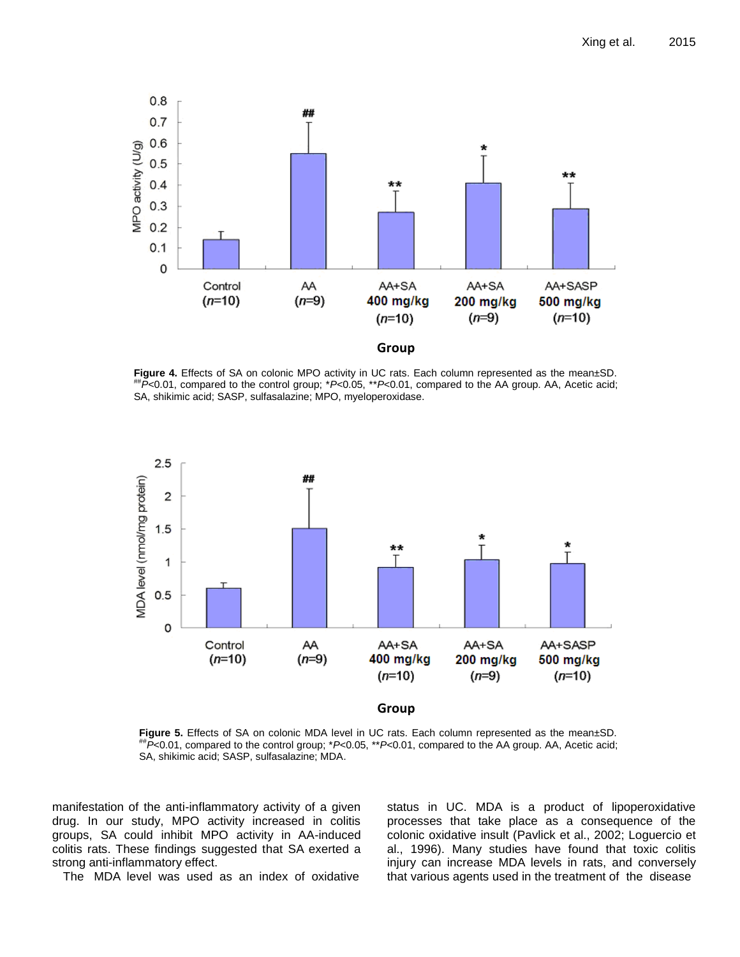

**Figure 4.** Effects of SA on colonic MPO activity in UC rats. Each column represented as the mean±SD. ##*P*<0.01, compared to the control group; \**P*<0.05, \*\**P*<0.01, compared to the AA group. AA, Acetic acid; SA, shikimic acid; SASP, sulfasalazine; MPO, myeloperoxidase.



**Figure 5.** Effects of SA on colonic MDA level in UC rats. Each column represented as the mean±SD. ##*P*<0.01, compared to the control group; \**P*<0.05, \*\**P*<0.01, compared to the AA group. AA, Acetic acid; SA, shikimic acid; SASP, sulfasalazine; MDA.

manifestation of the anti-inflammatory activity of a given drug. In our study, MPO activity increased in colitis groups, SA could inhibit MPO activity in AA-induced colitis rats. These findings suggested that SA exerted a strong anti-inflammatory effect.

The MDA level was used as an index of oxidative

status in UC. MDA is a product of lipoperoxidative processes that take place as a consequence of the colonic oxidative insult [\(Pavlick et al., 2002;](l%20) [Loguercio et](file:///C:\Users\user\Documents\Clem%20Document\QA\2012\March\QA%202%20Clement%206-3-2012\JMPR-11-1748%20Xing%20et%20al\Publication\l)  [al., 1996\)](file:///C:\Users\user\Documents\Clem%20Document\QA\2012\March\QA%202%20Clement%206-3-2012\JMPR-11-1748%20Xing%20et%20al\Publication\l). Many studies have found that toxic colitis injury can increase MDA levels in rats, and conversely that various agents used in the treatment of the disease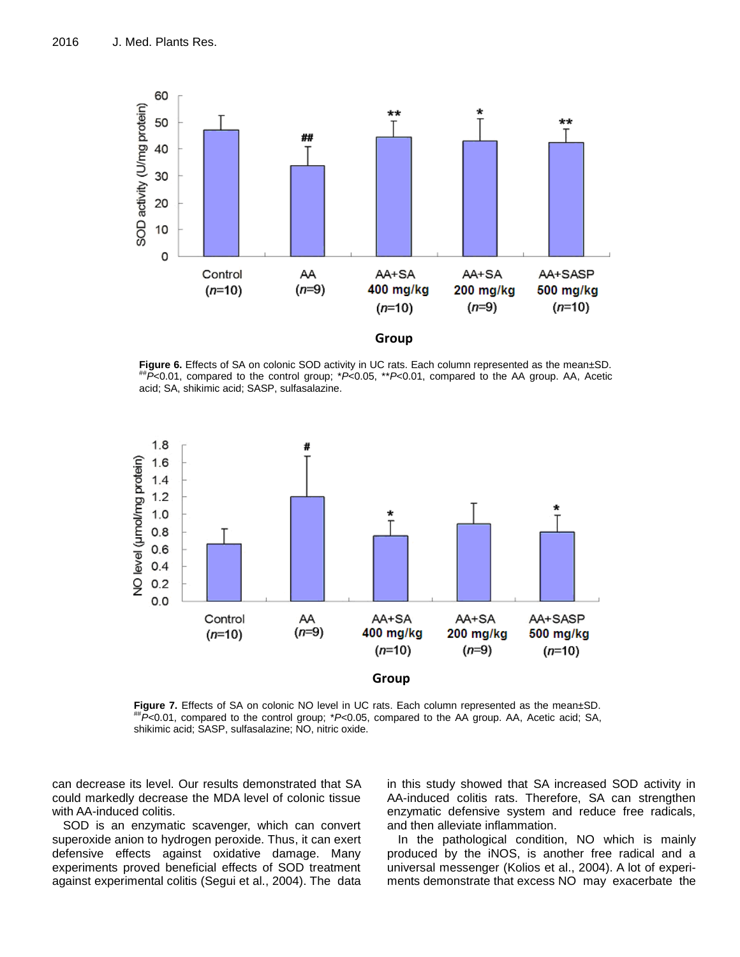

Figure 6. Effects of SA on colonic SOD activity in UC rats. Each column represented as the mean±SD. ##*P*<0.01, compared to the control group; \**P*<0.05, \*\**P*<0.01, compared to the AA group. AA, Acetic acid; SA, shikimic acid; SASP, sulfasalazine.



**Figure 7.** Effects of SA on colonic NO level in UC rats. Each column represented as the mean±SD. ##*P*<0.01, compared to the control group; \**P*<0.05, compared to the AA group. AA, Acetic acid; SA, shikimic acid; SASP, sulfasalazine; NO, nitric oxide.

can decrease its level. Our results demonstrated that SA could markedly decrease the MDA level of colonic tissue with AA-induced colitis.

SOD is an enzymatic scavenger, which can convert superoxide anion to hydrogen peroxide. Thus, it can exert defensive effects against oxidative damage. Many experiments proved beneficial effects of SOD treatment against experimental colitis [\(Segui et al., 2004\)](l%20). The data

in this study showed that SA increased SOD activity in AA-induced colitis rats. Therefore, SA can strengthen enzymatic defensive system and reduce free radicals, and then alleviate inflammation.

In the pathological condition, NO which is mainly produced by the iNOS, is another free radical and a universal messenger [\(Kolios et al., 2004\)](l%20). A lot of experiments demonstrate that excess NO may exacerbate the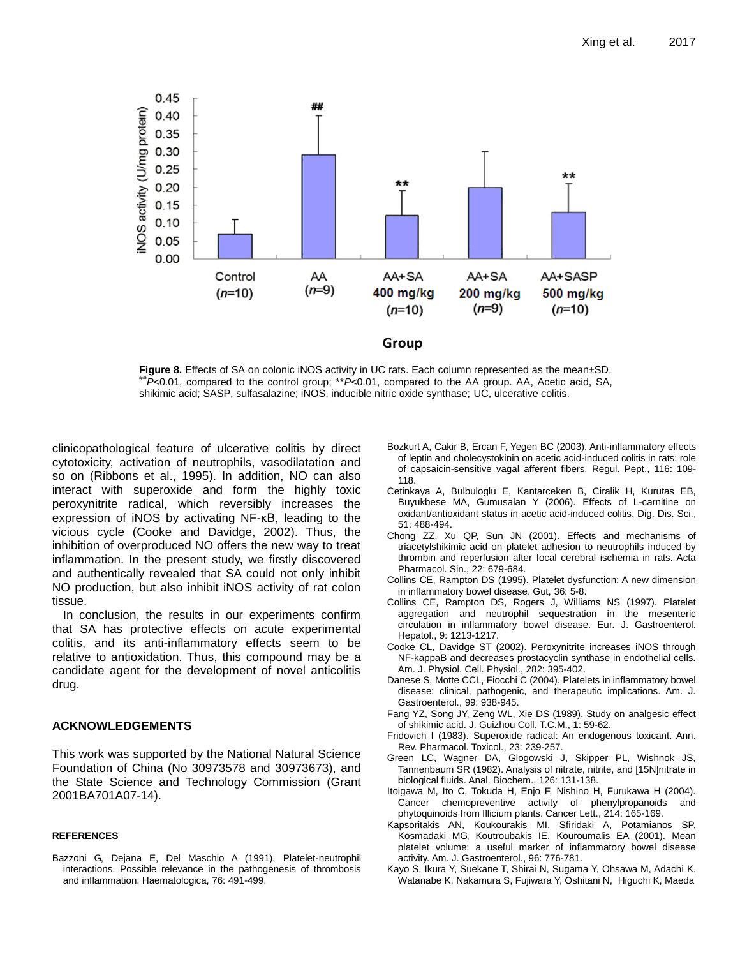

**Figure 8.** Effects of SA on colonic iNOS activity in UC rats. Each column represented as the mean±SD. ##*P*<0.01, compared to the control group; \*\**P*<0.01, compared to the AA group. AA, Acetic acid, SA, shikimic acid; SASP, sulfasalazine; iNOS, inducible nitric oxide synthase; UC, ulcerative colitis.

clinicopathological feature of ulcerative colitis by direct cytotoxicity, activation of neutrophils, vasodilatation and so on [\(Ribbons et al., 1995\)](l%20). In addition, NO can also interact with superoxide and form the highly toxic peroxynitrite radical, which reversibly increases the expression of iNOS by activating NF-κB, leading to the vicious cycle [\(Cooke and Davidge, 2002\)](l%20). Thus, the inhibition of overproduced NO offers the new way to treat inflammation. In the present study, we firstly discovered and authentically revealed that SA could not only inhibit NO production, but also inhibit iNOS activity of rat colon tissue.

In conclusion, the results in our experiments confirm that SA has protective effects on acute experimental colitis, and its anti-inflammatory effects seem to be relative to antioxidation. Thus, this compound may be a candidate agent for the development of novel anticolitis drug.

# **ACKNOWLEDGEMENTS**

This work was supported by the National Natural Science Foundation of China (No 30973578 and 30973673), and the State Science and Technology Commission (Grant 2001BA701A07-14).

# **REFERENCES**

Bazzoni G, Dejana E, Del Maschio A (1991). Platelet-neutrophil interactions. Possible relevance in the pathogenesis of thrombosis and inflammation. Haematologica, 76: 491-499.

- Bozkurt A, Cakir B, Ercan F, Yegen BC (2003). Anti-inflammatory effects of leptin and cholecystokinin on acetic acid-induced colitis in rats: role of capsaicin-sensitive vagal afferent fibers. Regul. Pept., 116: 109- 118.
- Cetinkaya A, Bulbuloglu E, Kantarceken B, Ciralik H, Kurutas EB, Buyukbese MA, Gumusalan Y (2006). Effects of L-carnitine on oxidant/antioxidant status in acetic acid-induced colitis. Dig. Dis. Sci., 51: 488-494.
- Chong ZZ, Xu QP, Sun JN (2001). Effects and mechanisms of triacetylshikimic acid on platelet adhesion to neutrophils induced by thrombin and reperfusion after focal cerebral ischemia in rats. Acta Pharmacol. Sin., 22: 679-684.
- Collins CE, Rampton DS (1995). Platelet dysfunction: A new dimension in inflammatory bowel disease. Gut, 36: 5-8.
- Collins CE, Rampton DS, Rogers J, Williams NS (1997). Platelet aggregation and neutrophil sequestration in the mesenteric circulation in inflammatory bowel disease. Eur. J. Gastroenterol. Hepatol., 9: 1213-1217.
- Cooke CL, Davidge ST (2002). Peroxynitrite increases iNOS through NF-kappaB and decreases prostacyclin synthase in endothelial cells. Am. J. Physiol. Cell. Physiol., 282: 395-402.
- Danese S, Motte CCL, Fiocchi C (2004). Platelets in inflammatory bowel disease: clinical, pathogenic, and therapeutic implications. Am. J. Gastroenterol., 99: 938-945.
- Fang YZ, Song JY, Zeng WL, Xie DS (1989). Study on analgesic effect of shikimic acid. J. Guizhou Coll. T.C.M., 1: 59-62.
- Fridovich I (1983). Superoxide radical: An endogenous toxicant. Ann. Rev. Pharmacol. Toxicol., 23: 239-257.
- Green LC, Wagner DA, Glogowski J, Skipper PL, Wishnok JS, Tannenbaum SR (1982). Analysis of nitrate, nitrite, and [15N]nitrate in biological fluids. Anal. Biochem., 126: 131-138.
- Itoigawa M, Ito C, Tokuda H, Enjo F, Nishino H, Furukawa H (2004). Cancer chemopreventive activity of phenylpropanoids and phytoquinoids from Illicium plants. Cancer Lett., 214: 165-169.
- Kapsoritakis AN, Koukourakis MI, Sfiridaki A, Potamianos SP, Kosmadaki MG, Koutroubakis IE, Kouroumalis EA (2001). Mean platelet volume: a useful marker of inflammatory bowel disease activity. Am. J. Gastroenterol., 96: 776-781.
- Kayo S, Ikura Y, Suekane T, Shirai N, Sugama Y, Ohsawa M, Adachi K, Watanabe K, Nakamura S, Fujiwara Y, Oshitani N, Higuchi K, Maeda